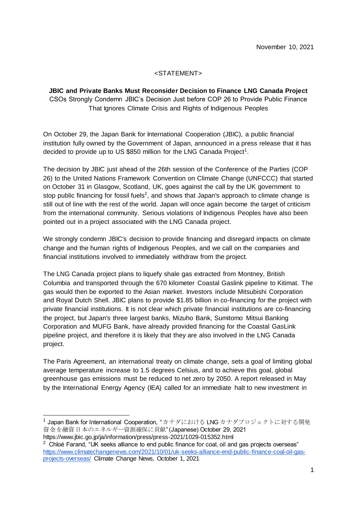## <STATEMENT>

## **JBIC and Private Banks Must Reconsider Decision to Finance LNG Canada Project** CSOs Strongly Condemn JBIC's Decision Just before COP 26 to Provide Public Finance That Ignores Climate Crisis and Rights of Indigenous Peoples

On October 29, the Japan Bank for International Cooperation (JBIC), a public financial institution fully owned by the Government of Japan, announced in a press release that it has decided to provide up to US \$850 million for the LNG Canada Project<sup>1</sup>.

The decision by JBIC just ahead of the 26th session of the Conference of the Parties (COP 26) to the United Nations Framework Convention on Climate Change (UNFCCC) that started on October 31 in Glasgow, Scotland, UK, goes against the call by the UK government to stop public financing for fossil fuels<sup>2</sup>, and shows that Japan's approach to climate change is still out of line with the rest of the world. Japan will once again become the target of criticism from the international community. Serious violations of Indigenous Peoples have also been pointed out in a project associated with the LNG Canada project.

We strongly condemn JBIC's decision to provide financing and disregard impacts on climate change and the human rights of Indigenous Peoples, and we call on the companies and financial institutions involved to immediately withdraw from the project.

The LNG Canada project plans to liquefy shale gas extracted from Montney, British Columbia and transported through the 670 kilometer Coastal Gaslink pipeline to Kitimat. The gas would then be exported to the Asian market. Investors include Mitsubishi Corporation and Royal Dutch Shell. JBIC plans to provide \$1.85 billion in co-financing for the project with private financial institutions. It is not clear which private financial institutions are co-financing the project, but Japan's three largest banks, Mizuho Bank, Sumitomo Mitsui Banking Corporation and MUFG Bank, have already provided financing for the Coastal GasLink pipeline project, and therefore it is likely that they are also involved in the LNG Canada project.

The Paris Agreement, an international treaty on climate change, sets a goal of limiting global average temperature increase to 1.5 degrees Celsius, and to achieve this goal, global greenhouse gas emissions must be reduced to net zero by 2050. A report released in May by the International Energy Agency (IEA) called for an immediate halt to new investment in

 $\overline{a}$ 

<sup>&</sup>lt;sup>1</sup> Japan Bank for International Cooperation, "カナダにおける LNG カナダプロジェクトに対する開発 資金を融資日本のエネルギー資源確保に貢献" (Japanese) October 29, 2021 https://www.jbic.go.jp/ja/information/press/press-2021/1029-015352.html

 $2$  Chloé Farand, "UK seeks alliance to end public finance for coal, oil and gas projects overseas" [https://www.climatechangenews.com/2021/10/01/uk-seeks-alliance-end-public-finance-coal-oil-gas](https://www.climatechangenews.com/2021/10/01/uk-seeks-alliance-end-public-finance-coal-oil-gas-projects-overseas/)[projects-overseas/](https://www.climatechangenews.com/2021/10/01/uk-seeks-alliance-end-public-finance-coal-oil-gas-projects-overseas/) Climate Change News, October 1, 2021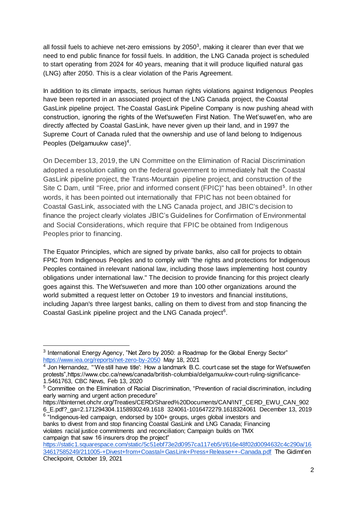all fossil fuels to achieve net-zero emissions by 2050<sup>3</sup>, making it clearer than ever that we need to end public finance for fossil fuels. In addition, the LNG Canada project is scheduled to start operating from 2024 for 40 years, meaning that it will produce liquified natural gas (LNG) after 2050. This is a clear violation of the Paris Agreement.

In addition to its climate impacts, serious human rights violations against Indigenous Peoples have been reported in an associated project of the LNG Canada project, the Coastal GasLink pipeline project. The Coastal GasLink Pipeline Company is now pushing ahead with construction, ignoring the rights of the Wet'suwet'en First Nation. The Wet'suwet'en, who are directly affected by Coastal GasLink, have never given up their land, and in 1997 the Supreme Court of Canada ruled that the ownership and use of land belong to Indigenous Peoples (Delgamuukw case)<sup>4</sup>.

On December 13, 2019, the UN Committee on the Elimination of Racial Discrimination adopted a resolution calling on the federal government to immediately halt the Coastal GasLink pipeline project, the Trans-Mountain pipeline project, and construction of the Site C Dam, until "Free, prior and informed consent (FPIC)" has been obtained<sup>5</sup>. In other words, it has been pointed out internationally that FPIC has not been obtained for Coastal GasLink, associated with the LNG Canada project, and JBIC's decision to finance the project clearly violates JBIC's Guidelines for Confirmation of Environmental and Social Considerations, which require that FPIC be obtained from Indigenous Peoples prior to financing.

The Equator Principles, which are signed by private banks, also call for projects to obtain FPIC from Indigenous Peoples and to comply with "the rights and protections for Indigenous Peoples contained in relevant national law, including those laws implementing host country obligations under international law." The decision to provide financing for this project clearly goes against this. The Wet'suwet'en and more than 100 other organizations around the world submitted a request letter on October 19 to investors and financial institutions, including Japan's three largest banks, calling on them to divest from and stop financing the Coastal GasLink pipeline project and the LNG Canada project<sup>6</sup>.

 $\overline{a}$ 

https://tbinternet.ohchr.org/Treaties/CERD/Shared%20Documents/CAN/INT\_CERD\_EWU\_CAN\_902 6\_E.pdf?\_ga=2.171294304.1158930249.1618 324061-1016472279.1618324061 December 13, 2019

<sup>6</sup> "Indigenous-led campaign, endorsed by 100+ groups, urges global investors and banks to divest from and stop financing Coastal GasLink and LNG Canada; Financing violates racial justice commitments and reconciliation; Campaign builds on TMX campaign that saw 16 insurers drop the project"

 $3$  International Energy Agency, "Net Zero by 2050: a Roadmap for the Global Energy Sector" <https://www.iea.org/reports/net-zero-by-2050> May 18, 2021

 $<sup>4</sup>$  Jon Hernandez, "'We still have title': How a landmark B.C. court case set the stage for Wet'suwet'en</sup> protests",https://www.cbc.ca/news/canada/british-columbia/delgamuukw-court-ruling-significance-

<sup>1.5461763,</sup> CBC News, Feb 13, 2020

<sup>5</sup> Committee on the Elimination of Racial Discrimination, "Prevention of racial discrimination, including early warning and urgent action precedure"

[https://static1.squarespace.com/static/5c51ebf73e2d0957ca117eb5/t/616e48f02d0094632c4c290a/16](https://static1.squarespace.com/static/5c51ebf73e2d0957ca117eb5/t/616e48f02d0094632c4c290a/1634617585249/211005-+Divest+from+Coastal+GasLink+Press+Release++-Canada.pdf) [34617585249/211005-+Divest+from+Coastal+GasLink+Press+Release++-Canada.pdf](https://static1.squarespace.com/static/5c51ebf73e2d0957ca117eb5/t/616e48f02d0094632c4c290a/1634617585249/211005-+Divest+from+Coastal+GasLink+Press+Release++-Canada.pdf) The Gidimt'en Checkpoint, October 19, 2021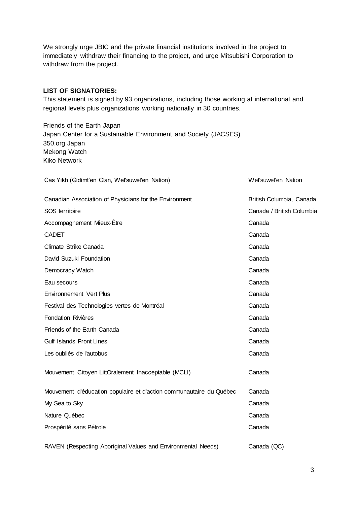We strongly urge JBIC and the private financial institutions involved in the project to immediately withdraw their financing to the project, and urge Mitsubishi Corporation to withdraw from the project.

## **LIST OF SIGNATORIES:**

This statement is signed by 93 organizations, including those working at international and regional levels plus organizations working nationally in 30 countries.

Friends of the Earth Japan Japan Center for a Sustainable Environment and Society (JACSES) 350.org Japan Mekong Watch Kiko Network

| Cas Yikh (Gidimt'en Clan, Wet'suwet'en Nation)                      | Wet'suwet'en Nation       |  |
|---------------------------------------------------------------------|---------------------------|--|
| Canadian Association of Physicians for the Environment              | British Columbia, Canada  |  |
| SOS territoire                                                      | Canada / British Columbia |  |
| Accompagnement Mieux-Être                                           | Canada                    |  |
| <b>CADET</b>                                                        | Canada                    |  |
| Climate Strike Canada                                               | Canada                    |  |
| David Suzuki Foundation                                             | Canada                    |  |
| Democracy Watch                                                     | Canada                    |  |
| Eau secours                                                         | Canada                    |  |
| <b>Environnement Vert Plus</b>                                      | Canada                    |  |
| Festival des Technologies vertes de Montréal                        | Canada                    |  |
| <b>Fondation Rivières</b>                                           | Canada                    |  |
| Friends of the Earth Canada                                         | Canada                    |  |
| <b>Gulf Islands Front Lines</b>                                     | Canada                    |  |
| Les oubliés de l'autobus                                            | Canada                    |  |
| Mouvement Citoyen LittOralement Inacceptable (MCLI)                 | Canada                    |  |
| Mouvement d'éducation populaire et d'action communautaire du Québec | Canada                    |  |
| My Sea to Sky                                                       | Canada                    |  |
| Nature Québec                                                       | Canada                    |  |
| Prospérité sans Pétrole                                             | Canada                    |  |
| RAVEN (Respecting Aboriginal Values and Environmental Needs)        | Canada (QC)               |  |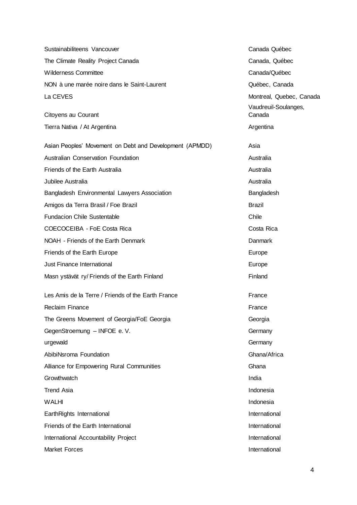| Sustainabiliteens Vancouver                             | Canada Québec                                    |
|---------------------------------------------------------|--------------------------------------------------|
| The Climate Reality Project Canada                      | Canada, Québec                                   |
| <b>Wilderness Committee</b>                             | Canada/Québec                                    |
| NON à une marée noire dans le Saint-Laurent             | Québec, Canada                                   |
| La CEVES                                                | Montreal, Quebec, Canada<br>Vaudreuil-Soulanges, |
| Citoyens au Courant                                     | Canada                                           |
| Tierra Nativa / At Argentina                            | Argentina                                        |
| Asian Peoples' Movement on Debt and Development (APMDD) | Asia                                             |
| Australian Conservation Foundation                      | Australia                                        |
| Friends of the Earth Australia                          | Australia                                        |
| Jubilee Australia                                       | Australia                                        |
| Bangladesh Environmental Lawyers Association            | Bangladesh                                       |
| Amigos da Terra Brasil / Foe Brazil                     | Brazil                                           |
| <b>Fundacion Chile Sustentable</b>                      | Chile                                            |
| COECOCEIBA - FoE Costa Rica                             | Costa Rica                                       |
| NOAH - Friends of the Earth Denmark                     | Danmark                                          |
| Friends of the Earth Europe                             | Europe                                           |
| Just Finance International                              | Europe                                           |
| Masn ystävät ry/ Friends of the Earth Finland           | Finland                                          |
| Les Amis de la Terre / Friends of the Earth France      | France                                           |
| <b>Reclaim Finance</b>                                  | France                                           |
| The Greens Movement of Georgia/FoE Georgia              | Georgia                                          |
| GegenStroemung - INFOE e. V.                            | Germany                                          |
| urgewald                                                | Germany                                          |
| AbibiNsroma Foundation                                  | Ghana/Africa                                     |
| Alliance for Empowering Rural Communities               | Ghana                                            |
| Growthwatch                                             | India                                            |
| <b>Trend Asia</b>                                       | Indonesia                                        |
| <b>WALHI</b>                                            | Indonesia                                        |
| EarthRights International                               | International                                    |
| Friends of the Earth International                      | International                                    |
| International Accountability Project                    | International                                    |
| <b>Market Forces</b>                                    | International                                    |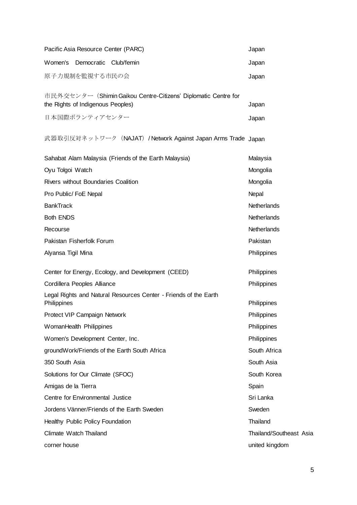| Pacific Asia Resource Center (PARC)                   |                                                                  | Japan                   |  |
|-------------------------------------------------------|------------------------------------------------------------------|-------------------------|--|
| Women's Democratic Club/femin                         |                                                                  | Japan                   |  |
| 原子力規制を監視する市民の会                                        |                                                                  | Japan                   |  |
| the Rights of Indigenous Peoples)                     | 市民外交センター (Shimin Gaikou Centre-Citizens' Diplomatic Centre for   | Japan                   |  |
| 日本国際ボランティアセンター                                        |                                                                  | Japan                   |  |
|                                                       | 武器取引反対ネットワーク (NAJAT) / Network Against Japan Arms Trade Japan    |                         |  |
| Sahabat Alam Malaysia (Friends of the Earth Malaysia) |                                                                  | Malaysia                |  |
| Oyu Tolgoi Watch                                      |                                                                  | Mongolia                |  |
| <b>Rivers without Boundaries Coalition</b>            |                                                                  | Mongolia                |  |
| Pro Public/ FoE Nepal                                 |                                                                  | Nepal                   |  |
| <b>BankTrack</b>                                      |                                                                  | Netherlands             |  |
| <b>Both ENDS</b>                                      |                                                                  | Netherlands             |  |
| Recourse                                              |                                                                  | <b>Netherlands</b>      |  |
| Pakistan Fisherfolk Forum                             |                                                                  | Pakistan                |  |
| Alyansa Tigil Mina                                    |                                                                  | Philippines             |  |
| Center for Energy, Ecology, and Development (CEED)    |                                                                  | Philippines             |  |
| Cordillera Peoples Alliance                           |                                                                  | Philippines             |  |
| Philippines                                           | Legal Rights and Natural Resources Center - Friends of the Earth | Philippines             |  |
| Protect VIP Campaign Network                          |                                                                  | Philippines             |  |
| WomanHealth Philippines                               |                                                                  | Philippines             |  |
| Women's Development Center, Inc.                      |                                                                  | Philippines             |  |
| groundWork/Friends of the Earth South Africa          |                                                                  | South Africa            |  |
| 350 South Asia                                        |                                                                  | South Asia              |  |
| Solutions for Our Climate (SFOC)                      |                                                                  | South Korea             |  |
| Amigas de la Tierra                                   |                                                                  | Spain                   |  |
| Centre for Environmental Justice                      |                                                                  | Sri Lanka               |  |
| Jordens Vänner/Friends of the Earth Sweden            |                                                                  | Sweden                  |  |
| Healthy Public Policy Foundation                      |                                                                  | Thailand                |  |
| Climate Watch Thailand                                |                                                                  | Thailand/Southeast Asia |  |
| corner house                                          |                                                                  | united kingdom          |  |